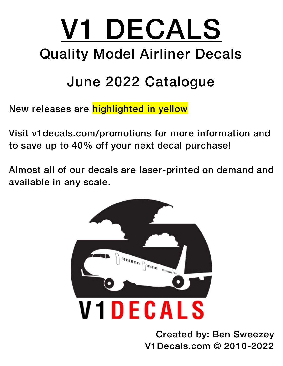## V1 DECALS Quality Model Airliner Decals

## June 2022 Catalogue

New releases are highlighted in yellow

Visit v1decals.com/promotions for more information and to save up to 40% off your next decal purchase!

Almost all of our decals are laser-printed on demand and available in any scale.



Created by: Ben Sweezey V1Decals.com © 2010-2022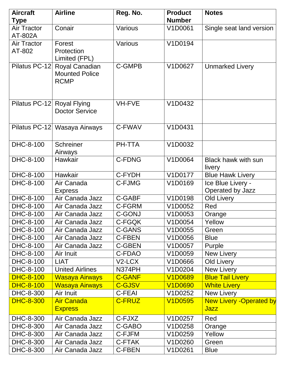| <b>Aircraft</b>    | <b>Airline</b>               | Reg. No.      | <b>Product</b> | <b>Notes</b>                    |
|--------------------|------------------------------|---------------|----------------|---------------------------------|
| Type               |                              |               | <b>Number</b>  |                                 |
| Air Tractor        | Conair                       | Various       | V1D0061        | Single seat land version        |
| AT-802A            |                              |               |                |                                 |
| <b>Air Tractor</b> | Forest                       | Various       | V1D0194        |                                 |
| AT-802             | Protection                   |               |                |                                 |
|                    | Limited (FPL)                |               |                |                                 |
| Pilatus PC-12      | Royal Canadian               | <b>C-GMPB</b> | V1D0627        | <b>Unmarked Livery</b>          |
|                    | <b>Mounted Police</b>        |               |                |                                 |
|                    | <b>RCMP</b>                  |               |                |                                 |
|                    |                              |               |                |                                 |
| Pilatus PC-12      | <b>Royal Flying</b>          | <b>VH-FVE</b> | V1D0432        |                                 |
|                    | <b>Doctor Service</b>        |               |                |                                 |
|                    |                              |               |                |                                 |
|                    | Pilatus PC-12 Wasaya Airways | C-FWAV        | V1D0431        |                                 |
|                    |                              |               |                |                                 |
|                    |                              |               |                |                                 |
| DHC-8-100          | <b>Schreiner</b>             | PH-TTA        | V1D0032        |                                 |
| DHC-8-100          | Airways                      | <b>C-FDNG</b> |                | <b>Black hawk with sun</b>      |
|                    | Hawkair                      |               | V1D0064        | livery                          |
| DHC-8-100          | Hawkair                      | C-FYDH        | V1D0177        | <b>Blue Hawk Livery</b>         |
| DHC-8-100          | Air Canada                   | <b>C-FJMG</b> | V1D0169        | Ice Blue Livery -               |
|                    | <b>Express</b>               |               |                | Operated by Jazz                |
| DHC-8-100          | Air Canada Jazz              | C-GABF        | V1D0198        | <b>Old Livery</b>               |
| DHC-8-100          | Air Canada Jazz              | C-FGRM        | V1D0052        | Red                             |
| DHC-8-100          | Air Canada Jazz              | <b>C-GONJ</b> | V1D0053        | Orange                          |
| DHC-8-100          | Air Canada Jazz              | C-FGQK        | V1D0054        | Yellow                          |
| DHC-8-100          | Air Canada Jazz              | <b>C-GANS</b> | V1D0055        | Green                           |
| DHC-8-100          | Air Canada Jazz              | C-FBEN        | V1D0056        | <b>Blue</b>                     |
| DHC-8-100          | Air Canada Jazz              | <b>C-GBEN</b> | V1D0057        | Purple                          |
| DHC-8-100          | Air Inuit                    | C-FDAO        | V1D0059        | <b>New Livery</b>               |
| DHC-8-100          | <b>LIAT</b>                  | V2-LCX        | V1D0666        | Old Livery                      |
| DHC-8-100          | <b>United Airlines</b>       | N374PH        | V1D0204        | New Livery                      |
| <b>DHC-8-100</b>   | <b>Wasaya Airways</b>        | <b>C-GANF</b> | <b>V1D0689</b> | <b>Blue Tail Livery</b>         |
| <b>DHC-8-100</b>   | Wasaya Airways               | <b>C-GJSV</b> | <b>V1D0690</b> | <b>White Livery</b>             |
| DHC-8-300          | Air Inuit                    | C-FEAI        | V1D0252        | New Livery                      |
| <b>DHC-8-300</b>   | <b>Air Canada</b>            | <b>C-FRUZ</b> | <b>V1D0595</b> | <b>New Livery - Operated by</b> |
|                    | <b>Express</b>               |               |                | <u>Jazz</u>                     |
| DHC-8-300          | Air Canada Jazz              | C-FJXZ        | V1D0257        | Red                             |
| DHC-8-300          | Air Canada Jazz              | C-GABO        | V1D0258        | Orange                          |
| DHC-8-300          | Air Canada Jazz              | C-FJFM        | V1D0259        | Yellow                          |
| DHC-8-300          | Air Canada Jazz              | C-FTAK        | V1D0260        | Green                           |
| DHC-8-300          | Air Canada Jazz              | C-FBEN        | V1D0261        | <b>Blue</b>                     |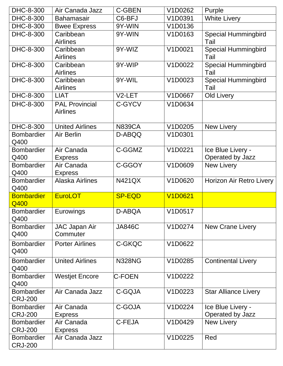| DHC-8-300                           | Air Canada Jazz                          | <b>C-GBEN</b> | V1D0262        | Purple                                |
|-------------------------------------|------------------------------------------|---------------|----------------|---------------------------------------|
| DHC-8-300                           | <b>Bahamasair</b>                        | C6-BFJ        | V1D0391        | <b>White Livery</b>                   |
| DHC-8-300                           | <b>Bwee Express</b>                      | 9Y-WIN        | V1D0136        |                                       |
| DHC-8-300                           | Caribbean<br><b>Airlines</b>             | 9Y-WIN        | V1D0163        | <b>Special Hummingbird</b><br>Tail    |
| DHC-8-300                           | Caribbean<br><b>Airlines</b>             | 9Y-WIZ        | V1D0021        | <b>Special Hummingbird</b><br>Tail    |
| DHC-8-300                           | Caribbean<br><b>Airlines</b>             | 9Y-WIP        | V1D0022        | <b>Special Hummingbird</b><br>Tail    |
| DHC-8-300                           | Caribbean<br><b>Airlines</b>             | 9Y-WIL        | V1D0023        | <b>Special Hummingbird</b><br>Tail    |
| DHC-8-300                           | <b>LIAT</b>                              | V2-LET        | V1D0667        | <b>Old Livery</b>                     |
| DHC-8-300                           | <b>PAL Provincial</b><br><b>Airlines</b> | <b>C-GYCV</b> | V1D0634        |                                       |
| DHC-8-300                           | <b>United Airlines</b>                   | <b>N839CA</b> | V1D0205        | New Livery                            |
| <b>Bombardier</b><br>Q400           | Air Berlin                               | D-ABQQ        | V1D0301        |                                       |
| <b>Bombardier</b><br>Q400           | Air Canada<br><b>Express</b>             | C-GGMZ        | V1D0221        | Ice Blue Livery -<br>Operated by Jazz |
| <b>Bombardier</b><br>Q400           | Air Canada<br><b>Express</b>             | C-GGOY        | V1D0609        | <b>New Livery</b>                     |
| <b>Bombardier</b><br>Q400           | <b>Alaska Airlines</b>                   | <b>N421QX</b> | V1D0620        | Horizon Air Retro Livery              |
| <b>Bombardier</b><br>Q400           | <b>EuroLOT</b>                           | <b>SP-EQD</b> | <b>V1D0621</b> |                                       |
| <b>Bombardier</b><br>Q400           | Eurowings                                | D-ABQA        | V1D0517        |                                       |
| <b>Bombardier</b><br>Q400           | <b>JAC Japan Air</b><br>Commuter         | <b>JA846C</b> | V1D0274        | <b>New Crane Livery</b>               |
| <b>Bombardier</b><br>Q400           | <b>Porter Airlines</b>                   | C-GKQC        | V1D0622        |                                       |
| <b>Bombardier</b><br>Q400           | <b>United Airlines</b>                   | <b>N328NG</b> | V1D0285        | <b>Continental Livery</b>             |
| <b>Bombardier</b><br>Q400           | <b>Westjet Encore</b>                    | <b>C-FOEN</b> | V1D0222        |                                       |
| <b>Bombardier</b><br><b>CRJ-200</b> | Air Canada Jazz                          | C-GQJA        | V1D0223        | <b>Star Alliance Livery</b>           |
| <b>Bombardier</b><br><b>CRJ-200</b> | Air Canada<br><b>Express</b>             | C-GOJA        | V1D0224        | Ice Blue Livery -<br>Operated by Jazz |
| <b>Bombardier</b><br><b>CRJ-200</b> | Air Canada<br><b>Express</b>             | C-FEJA        | V1D0429        | <b>New Livery</b>                     |
| <b>Bombardier</b><br><b>CRJ-200</b> | Air Canada Jazz                          |               | V1D0225        | Red                                   |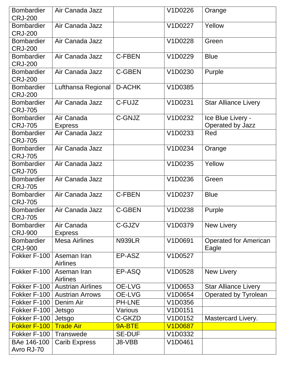| <b>Bombardier</b><br><b>CRJ-200</b> | Air Canada Jazz                |               | V1D0226        | Orange                                |
|-------------------------------------|--------------------------------|---------------|----------------|---------------------------------------|
| <b>Bombardier</b><br><b>CRJ-200</b> | Air Canada Jazz                |               | V1D0227        | Yellow                                |
| <b>Bombardier</b><br><b>CRJ-200</b> | Air Canada Jazz                |               | V1D0228        | Green                                 |
| <b>Bombardier</b><br><b>CRJ-200</b> | Air Canada Jazz                | <b>C-FBEN</b> | V1D0229        | <b>Blue</b>                           |
| <b>Bombardier</b><br><b>CRJ-200</b> | Air Canada Jazz                | <b>C-GBEN</b> | V1D0230        | Purple                                |
| <b>Bombardier</b><br><b>CRJ-200</b> | Lufthansa Regional             | D-ACHK        | V1D0385        |                                       |
| <b>Bombardier</b><br><b>CRJ-705</b> | Air Canada Jazz                | C-FUJZ        | V1D0231        | <b>Star Alliance Livery</b>           |
| <b>Bombardier</b><br><b>CRJ-705</b> | Air Canada<br><b>Express</b>   | C-GNJZ        | V1D0232        | Ice Blue Livery -<br>Operated by Jazz |
| <b>Bombardier</b><br><b>CRJ-705</b> | Air Canada Jazz                |               | V1D0233        | Red                                   |
| <b>Bombardier</b><br><b>CRJ-705</b> | Air Canada Jazz                |               | V1D0234        | Orange                                |
| <b>Bombardier</b><br><b>CRJ-705</b> | Air Canada Jazz                |               | V1D0235        | Yellow                                |
| <b>Bombardier</b><br><b>CRJ-705</b> | Air Canada Jazz                |               | V1D0236        | Green                                 |
| <b>Bombardier</b><br><b>CRJ-705</b> | Air Canada Jazz                | <b>C-FBEN</b> | V1D0237        | <b>Blue</b>                           |
| <b>Bombardier</b><br><b>CRJ-705</b> | Air Canada Jazz                | <b>C-GBEN</b> | V1D0238        | Purple                                |
| <b>Bombardier</b><br><b>CRJ-900</b> | Air Canada<br><b>Express</b>   | C-GJZV        | V1D0379        | New Livery                            |
| <b>Bombardier</b><br><b>CRJ-900</b> | <b>Mesa Airlines</b>           | <b>N939LR</b> | V1D0691        | <b>Operated for American</b><br>Eagle |
| Fokker F-100                        | Aseman Iran<br><b>Airlines</b> | EP-ASZ        | V1D0527        |                                       |
| Fokker F-100                        | Aseman Iran<br><b>Airlines</b> | EP-ASQ        | V1D0528        | <b>New Livery</b>                     |
| Fokker F-100                        | <b>Austrian Airlines</b>       | <b>OE-LVG</b> | V1D0653        | <b>Star Alliance Livery</b>           |
| Fokker F-100                        | <b>Austrian Arrows</b>         | <b>OE-LVG</b> | V1D0654        | Operated by Tyrolean                  |
| Fokker F-100                        | Denim Air                      | PH-LNE        | V1D0356        |                                       |
| Fokker F-100                        | Jetsgo                         | Various       | V1D0151        |                                       |
| Fokker F-100                        | Jetsgo                         | C-GKZD        | V1D0152        | Mastercard Livery.                    |
| Fokker F-100                        | <b>Trade Air</b>               | 9A-BTE        | <b>V1D0687</b> |                                       |
| Fokker F-100                        | <b>Transwede</b>               | <b>SE-DUF</b> | V1D0332        |                                       |
| BAe 146-100<br>Avro RJ-70           | <b>Carib Express</b>           | J8-VBB        | V1D0461        |                                       |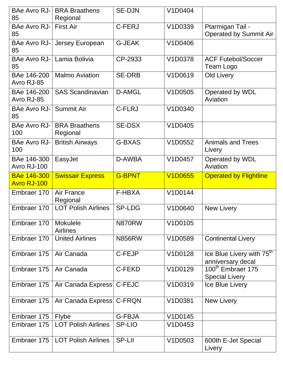| <b>BAe Avro RJ-</b><br>85                | <b>BRA Braathens</b><br>Regional   | <b>SE-DJN</b> | V1D0404        |                                                            |
|------------------------------------------|------------------------------------|---------------|----------------|------------------------------------------------------------|
| <b>BAe Avro RJ-</b><br>85                | <b>First Air</b>                   | C-FERJ        | V1D0339        | Ptarmigan Tail -<br><b>Operated by Summit Air</b>          |
| BAe Avro RJ-<br>85                       | Jersey European                    | <b>G-JEAK</b> | V1D0406        |                                                            |
| <b>BAe Avro RJ-</b><br>85                | Lamia Bolivia                      | CP-2933       | V1D0378        | <b>ACF Futebol/Soccer</b><br>Team Logo                     |
| BAe 146-200<br>Avro RJ-85                | <b>Malmo Aviation</b>              | <b>SE-DRB</b> | V1D0619        | <b>Old Livery</b>                                          |
| BAe 146-200<br>Avro RJ-85                | <b>SAS Scandinavian</b>            | <b>D-AMGL</b> | V1D0505        | Operated by WDL<br>Aviation                                |
| <b>BAe Avro RJ-</b><br>85                | Summit Air                         | <b>C-FLRJ</b> | V1D0340        |                                                            |
| <b>BAe Avro RJ-</b><br>100               | <b>BRA Braathens</b><br>Regional   | <b>SE-DSX</b> | V1D0405        |                                                            |
| <b>BAe Avro RJ-</b><br>100               | <b>British Airways</b>             | <b>G-BXAS</b> | V1D0552        | <b>Animals and Trees</b><br>Livery                         |
| BAe 146-300<br>Avro RJ-100               | EasyJet                            | D-AWBA        | V1D0457        | Operated by WDL<br>Aviation                                |
| <b>BAe 146-300</b><br><b>Avro RJ-100</b> | <b>Swissair Express</b>            | <b>G-BPNT</b> | <b>V1D0655</b> | <b>Operated by Flightline</b>                              |
| Embraer 170                              | Air France<br>Regional             | <b>F-HBXA</b> | V1D0144        |                                                            |
| Embraer 170                              | <b>LOT Polish Airlines</b>         | <b>SP-LDG</b> | V1D0640        | <b>New Livery</b>                                          |
| Embraer 170                              | <b>Mokulele</b><br><b>Airlines</b> | <b>N870RW</b> | V1D0105        |                                                            |
| Embraer 170                              | <b>United Airlines</b>             | <b>N856RW</b> | V1D0589        | <b>Continental Livery</b>                                  |
| Embraer 175                              | Air Canada                         | C-FEJP        | V1D0128        | Ice Blue Livery with 75 <sup>th</sup><br>anniversary decal |
| Embraer 175                              | Air Canada                         | <b>C-FEKD</b> | V1D0129        | 100 <sup>th</sup> Embraer 175<br><b>Special Livery</b>     |
| Embraer 175                              | Air Canada Express                 | C-FEJC        | V1D0319        | Ice Blue Livery                                            |
| Embraer 175                              | Air Canada Express                 | C-FRQN        | V1D0381        | <b>New Livery</b>                                          |
| Embraer 175                              | <b>Flybe</b>                       | <b>G-FBJA</b> | V1D0145        |                                                            |
| Embraer 175                              | <b>LOT Polish Airlines</b>         | <b>SP-LIO</b> | V1D0453        |                                                            |
| Embraer 175                              | <b>LOT Polish Airlines</b>         | <b>SP-LII</b> | V1D0503        | 600th E-Jet Special<br>Livery                              |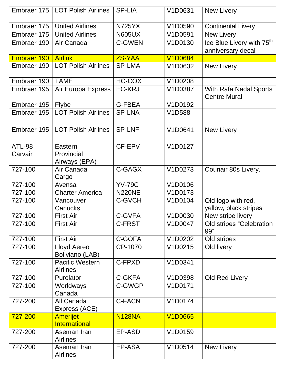|               | Embraer 175   LOT Polish Airlines         | <b>SP-LIA</b> | V1D0631        | <b>New Livery</b>                             |
|---------------|-------------------------------------------|---------------|----------------|-----------------------------------------------|
| Embraer 175   | <b>United Airlines</b>                    | <b>N725YX</b> | V1D0590        | <b>Continental Livery</b>                     |
| Embraer 175   | <b>United Airlines</b>                    | <b>N605UX</b> | V1D0591        | <b>New Livery</b>                             |
| Embraer 190   | Air Canada                                | <b>C-GWEN</b> | V1D0130        | Ice Blue Livery with 75 <sup>th</sup>         |
|               |                                           |               |                | anniversary decal                             |
| Embraer 190   | <b>Airlink</b>                            | <b>ZS-YAA</b> | <b>V1D0684</b> |                                               |
| Embraer 190   | <b>LOT Polish Airlines</b>                | <b>SP-LMA</b> | V1D0632        | <b>New Livery</b>                             |
| Embraer 190   | <b>TAME</b>                               | <b>HC-COX</b> | V1D0208        |                                               |
| Embraer 195   | Air Europa Express                        | <b>EC-KRJ</b> | V1D0387        | With Rafa Nadal Sports<br><b>Centre Mural</b> |
| Embraer 195   | <b>Flybe</b>                              | <b>G-FBEA</b> | V1D0192        |                                               |
| Embraer 195   | <b>LOT Polish Airlines</b>                | <b>SP-LNA</b> | V1D588         |                                               |
| Embraer 195   | <b>LOT Polish Airlines</b>                | <b>SP-LNF</b> | V1D0641        | <b>New Livery</b>                             |
| <b>ATL-98</b> | Eastern                                   | CF-EPV        | V1D0127        |                                               |
| Carvair       | Provincial                                |               |                |                                               |
| 727-100       | Airways (EPA)<br>Air Canada               | C-GAGX        | V1D0273        |                                               |
|               | Cargo                                     |               |                | Couriair 80s Livery.                          |
| 727-100       | Avensa                                    | <b>YV-79C</b> | V1D0106        |                                               |
| 727-100       | <b>Charter America</b>                    | <b>N220NE</b> | V1D0173        |                                               |
| 727-100       | Vancouver<br>Canucks                      | <b>C-GVCH</b> | V1D0104        | Old logo with red,<br>yellow, black stripes   |
| 727-100       | <b>First Air</b>                          | C-GVFA        | V1D0030        | New stripe livery                             |
| 727-100       | <b>First Air</b>                          | C-FRST        | V1D0047        | <b>Old stripes "Celebration</b><br>99"        |
| 727-100       | <b>First Air</b>                          | C-GOFA        | V1D0202        | Old stripes                                   |
| 727-100       | Lloyd Aereo<br>Boliviano (LAB)            | CP-1070       | V1D0215        | Old livery                                    |
| 727-100       | <b>Pacific Western</b><br><b>Airlines</b> | C-FPXD        | V1D0341        |                                               |
| 727-100       | Purolator                                 | <b>C-GKFA</b> | V1D0398        | Old Red Livery                                |
| 727-100       | Worldways<br>Canada                       | C-GWGP        | V1D0171        |                                               |
| 727-200       | All Canada<br>Express (ACE)               | <b>C-FACN</b> | V1D0174        |                                               |
| 727-200       | <b>Amerijet</b>                           | <b>N128NA</b> | <b>V1D0665</b> |                                               |
|               | <b>International</b>                      |               |                |                                               |
| 727-200       | Aseman Iran<br><b>Airlines</b>            | EP-ASD        | V1D0159        |                                               |
| 727-200       | Aseman Iran<br><b>Airlines</b>            | EP-ASA        | V1D0514        | New Livery                                    |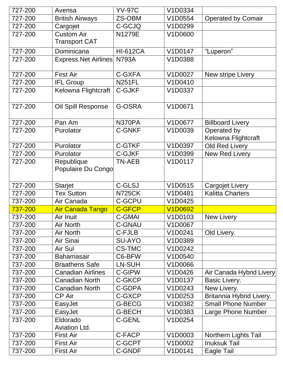| 727-200 | Avensa                   | <b>YV-97C</b>   | V1D0334        |                           |
|---------|--------------------------|-----------------|----------------|---------------------------|
| 727-200 | <b>British Airways</b>   | ZS-OBM          | V1D0554        | <b>Operated by Comair</b> |
| 727-200 | Cargojet                 | C-GCJQ          | V1D0299        |                           |
| 727-200 | <b>Custom Air</b>        | N1279E          | V1D0600        |                           |
|         | <b>Transport CAT</b>     |                 |                |                           |
| 727-200 | Dominicana               | <b>HI-612CA</b> | V1D0147        | "Luperon"                 |
| 727-200 | Express. Net Airlines    | <b>N793A</b>    | V1D0388        |                           |
|         |                          |                 |                |                           |
| 727-200 | <b>First Air</b>         | C-GXFA          | V1D0027        | New stripe Livery         |
| 727-200 | <b>IFL Group</b>         | <b>N251FL</b>   | V1D0410        |                           |
| 727-200 | Kelowna Flightcraft      | <b>C-GJKF</b>   | V1D0337        |                           |
|         |                          |                 |                |                           |
| 727-200 | Oil Spill Response       | G-OSRA          | V1D0671        |                           |
|         |                          |                 |                |                           |
| 727-200 | Pan Am                   | N370PA          | V1D0677        | <b>Billboard Livery</b>   |
| 727-200 | Purolator                | <b>C-GNKF</b>   | V1D0039        | Operated by               |
|         |                          |                 |                | Kelowna Flightcraft       |
| 727-200 | Purolator                | <b>C-GTKF</b>   | V1D0397        | Old Red Livery            |
| 727-200 | Purolator                | <b>C-GJKF</b>   | V1D0399        | <b>New Red Livery</b>     |
| 727-200 | Republique               | <b>TN-AEB</b>   | V1D0117        |                           |
|         | Populaire Du Congo       |                 |                |                           |
|         |                          |                 |                |                           |
| 727-200 | <b>Starjet</b>           | <b>C-GLSJ</b>   | V1D0515        | <b>Cargojet Livery</b>    |
| 727-200 | <b>Tex Sutton</b>        | <b>N725CK</b>   | V1D0481        | <b>Kalitta Charters</b>   |
| 737-200 | Air Canada               | <b>C-GCPU</b>   | V1D0425        |                           |
| 737-200 | <b>Air Canada Tango</b>  | <b>C-GFCP</b>   | <b>V1D0692</b> |                           |
| 737-200 | Air Inuit                | <b>C-GMAI</b>   | V1D0103        | <b>New Livery</b>         |
| 737-200 | <b>Air North</b>         | <b>C-GNAU</b>   | V1D0067        |                           |
| 737-200 | Air North                | C-FJLB          | V1D0241        | Old Livery.               |
| 737-200 | Air Sinai                | <b>SU-AYO</b>   | V1D0389        |                           |
| 737-200 | Air Sul                  | <b>CS-TMC</b>   | V1D0242        |                           |
| 737-200 | <b>Bahamasair</b>        | C6-BFW          | V1D0540        |                           |
| 737-200 | <b>Braathens Safe</b>    | LN-SUH          | V1D0066        |                           |
| 737-200 | <b>Canadian Airlines</b> | C-GIPW          | V1D0426        | Air Canada Hybrid Livery  |
| 737-200 | <b>Canadian North</b>    | C-GKCP          | V1D0137        | Basic Livery.             |
| 737-200 | <b>Canadian North</b>    | C-GDPA          | V1D0243        | New Livery.               |
| 737-200 | <b>CP Air</b>            | C-GXCP          | V1D0253        | Britannia Hybrid Livery.  |
| 737-200 | EasyJet                  | G-BECG          | V1D0382        | <b>Small Phone Number</b> |
| 737-200 | EasyJet                  | <b>G-BECH</b>   | V1D0383        | Large Phone Number        |
| 737-200 | Eldorado                 | <b>C-GENL</b>   | V1D0254        |                           |
|         | <b>Aviation Ltd.</b>     |                 |                |                           |
| 737-200 | <b>First Air</b>         | C-FACP          | V1D0003        | Northern Lights Tail      |
| 737-200 | <b>First Air</b>         | C-GCPT          | V1D0002        | <b>Inuksuk Tail</b>       |
| 737-200 | <b>First Air</b>         | <b>C-GNDF</b>   | V1D0141        | Eagle Tail                |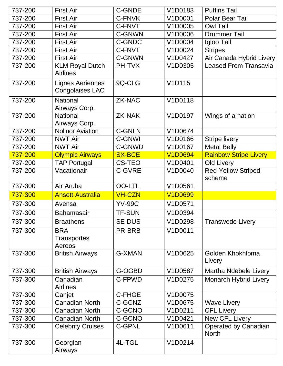| 737-200 | <b>First Air</b>                                  | <b>C-GNDE</b> | V1D0183                           | <b>Puffins Tail</b>                         |
|---------|---------------------------------------------------|---------------|-----------------------------------|---------------------------------------------|
| 737-200 | <b>First Air</b>                                  | C-FNVK        | V1D0001                           | <b>Polar Bear Tail</b>                      |
| 737-200 | <b>First Air</b>                                  | C-FNVT        | V1D0005                           | <b>Owl Tail</b>                             |
| 737-200 | <b>First Air</b>                                  | <b>C-GNWN</b> | V1D0006                           | <b>Drummer Tail</b>                         |
| 737-200 | <b>First Air</b>                                  | <b>C-GNDC</b> | V1D0004                           | Igloo Tail                                  |
| 737-200 | <b>First Air</b>                                  | C-FNVT        | V1D0024                           | <b>Stripes</b>                              |
| 737-200 | <b>First Air</b>                                  | C-GNWN        | V1D0427                           | Air Canada Hybrid Livery                    |
| 737-200 | <b>KLM Royal Dutch</b><br><b>Airlines</b>         | PH-TVX        | V1D0305                           | <b>Leased From Transavia</b>                |
| 737-200 | <b>Lignes Aeriennes</b><br><b>Congolaises LAC</b> | 9Q-CLG        | V1D115                            |                                             |
| 737-200 | <b>National</b><br>Airways Corp.                  | <b>ZK-NAC</b> | V1D0118                           |                                             |
| 737-200 | <b>National</b><br>Airways Corp.                  | ZK-NAK        | V1D0197                           | Wings of a nation                           |
| 737-200 | <b>Nolinor Aviation</b>                           | <b>C-GNLN</b> | V1D0674                           |                                             |
| 737-200 | <b>NWT Air</b>                                    | <b>C-GNWI</b> | V1D0166                           | <b>Stripe livery</b>                        |
| 737-200 | <b>NWT Air</b>                                    | C-GNWD        | V1D0167                           | Metal Belly                                 |
| 737-200 | <b>Olympic Airways</b>                            | <b>SX-BCE</b> | <b>V1D0694</b>                    | <b>Rainbow Stripe Livery</b>                |
| 737-200 | <b>TAP Portugal</b>                               | <b>CS-TEO</b> | V1D0401                           | <b>Old Livery</b>                           |
| 737-200 | Vacationair                                       | <b>C-GVRE</b> | V1D0040                           | <b>Red-Yellow Striped</b><br>scheme         |
|         |                                                   |               |                                   |                                             |
| 737-300 | Air Aruba                                         | <b>OO-LTL</b> | V1D0561                           |                                             |
| 737-300 | <b>Ansett Australia</b>                           | <b>VH-CZN</b> | <b>V1D0699</b>                    |                                             |
| 737-300 | Avensa                                            | <b>YV-99C</b> | V1D0571                           |                                             |
| 737-300 | <b>Bahamasair</b>                                 | <b>TF-SUN</b> | V <sub>1</sub> D <sub>0</sub> 394 |                                             |
| 737-300 | <b>Braathens</b>                                  | <b>SE-DUS</b> | V1D0298                           | <b>Transwede Livery</b>                     |
| 737-300 | <b>BRA</b><br><b>Transportes</b><br>Aereos        | PR-BRB        | V1D0011                           |                                             |
| 737-300 | <b>British Airways</b>                            | <b>G-XMAN</b> | V1D0625                           | Golden Khokhloma<br>Livery                  |
| 737-300 | <b>British Airways</b>                            | G-OGBD        | V1D0587                           | <b>Martha Ndebele Livery</b>                |
| 737-300 | Canadian<br><b>Airlines</b>                       | C-FPWD        | V1D0275                           | <b>Monarch Hybrid Livery</b>                |
| 737-300 | Canjet                                            | C-FHGE        | V1D0075                           |                                             |
| 737-300 | <b>Canadian North</b>                             | C-GCNZ        | V1D0675                           | <b>Wave Livery</b>                          |
| 737-300 | <b>Canadian North</b>                             | C-GCNO        | V1D0211                           | <b>CFL Livery</b>                           |
| 737-300 | <b>Canadian North</b>                             | C-GCNO        | V1D0421                           | New CFL Livery                              |
| 737-300 | <b>Celebrity Cruises</b>                          | <b>C-GPNL</b> | V1D0611                           | <b>Operated by Canadian</b><br><b>North</b> |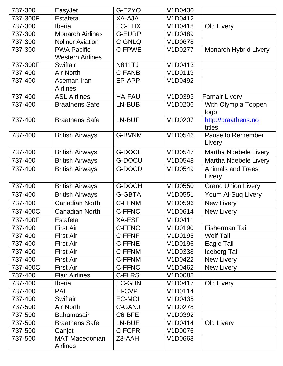| 737-300  | EasyJet                                  | G-EZYO        | V1D0430 |                              |
|----------|------------------------------------------|---------------|---------|------------------------------|
| 737-300F | Estafeta                                 | <b>XA-AJA</b> | V1D0412 |                              |
| 737-300  | Iberia                                   | EC-EHX        | V1D0418 | <b>Old Livery</b>            |
| 737-300  | <b>Monarch Airlines</b>                  | <b>G-EURP</b> | V1D0489 |                              |
| 737-300  | <b>Nolinor Aviation</b>                  | C-GNLQ        | V1D0678 |                              |
| 737-300  | <b>PWA Pacific</b>                       | C-FPWE        | V1D0277 | <b>Monarch Hybrid Livery</b> |
|          | <b>Western Airlines</b>                  |               |         |                              |
| 737-300F | Swiftair                                 | <b>N811TJ</b> | V1D0413 |                              |
| 737-400  | <b>Air North</b>                         | <b>C-FANB</b> | V1D0119 |                              |
| 737-400  | Aseman Iran                              | EP-APP        | V1D0492 |                              |
|          | <b>Airlines</b>                          |               |         |                              |
| 737-400  | <b>ASL Airlines</b>                      | <b>HA-FAU</b> | V1D0393 | <b>Farnair Livery</b>        |
| 737-400  | <b>Braathens Safe</b>                    | LN-BUB        | V1D0206 | With Olympia Toppen          |
|          |                                          |               |         | logo                         |
| 737-400  | <b>Braathens Safe</b>                    | LN-BUF        | V1D0207 | http://braathens.no          |
|          |                                          |               |         | titles                       |
| 737-400  | <b>British Airways</b>                   | <b>G-BVNM</b> | V1D0546 | Pause to Remember            |
|          |                                          |               |         | Livery                       |
| 737-400  | <b>British Airways</b>                   | <b>G-DOCL</b> | V1D0547 | Martha Ndebele Livery        |
| 737-400  | <b>British Airways</b>                   | <b>G-DOCU</b> | V1D0548 | Martha Ndebele Livery        |
| 737-400  | <b>British Airways</b>                   | G-DOCD        | V1D0549 | <b>Animals and Trees</b>     |
|          |                                          |               |         | Livery                       |
| 737-400  | <b>British Airways</b>                   | <b>G-DOCH</b> | V1D0550 | <b>Grand Union Livery</b>    |
| 737-400  | <b>British Airways</b>                   | <b>G-GBTA</b> | V1D0551 | <b>Youm Al-Sug Livery</b>    |
| 737-400  | <b>Canadian North</b>                    | <b>C-FFNM</b> | V1D0596 | New Livery                   |
| 737-400C | <b>Canadian North</b>                    | <b>C-FFNC</b> | V1D0614 | New Livery                   |
| 737-400F | Estafeta                                 | <b>XA-ESF</b> | V1D0411 |                              |
| 737-400  | <b>First Air</b>                         | <b>C-FFNC</b> | V1D0190 | <b>Fisherman Tail</b>        |
| 737-400  | <b>First Air</b>                         | C-FFNF        | V1D0195 | <b>Wolf Tail</b>             |
| 737-400  | <b>First Air</b>                         | C-FFNE        | V1D0196 | Eagle Tail                   |
| 737-400  | <b>First Air</b>                         | <b>C-FFNM</b> | V1D0338 | <b>Iceberg Tail</b>          |
| 737-400  | <b>First Air</b>                         | <b>C-FFNM</b> | V1D0422 | New Livery                   |
| 737-400C | <b>First Air</b>                         | <b>C-FFNC</b> | V1D0462 | New Livery                   |
| 737-400  | <b>Flair Airlines</b>                    | C-FLRS        | V1D0088 |                              |
| 737-400  | <b>Iberia</b>                            | <b>EC-GBN</b> | V1D0417 | Old Livery                   |
| 737-400  | <b>PAL</b>                               | EI-CVP        | V1D0114 |                              |
| 737-400  | Swiftair                                 | <b>EC-MCI</b> | V1D0435 |                              |
| 737-500  | Air North                                | <b>C-GANJ</b> | V1D0278 |                              |
| 737-500  | <b>Bahamasair</b>                        | C6-BFE        | V1D0392 |                              |
| 737-500  | <b>Braathens Safe</b>                    | LN-BUE        | V1D0414 | Old Livery                   |
| 737-500  | Canjet                                   | C-FCFR        | V1D0076 |                              |
| 737-500  | <b>MAT Macedonian</b><br><b>Airlines</b> | Z3-AAH        | V1D0668 |                              |
|          |                                          |               |         |                              |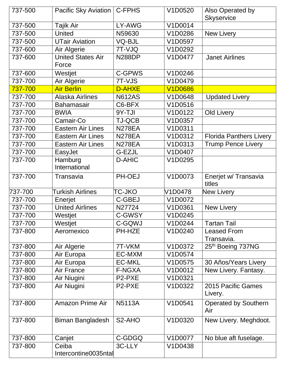| 737-500 | Pacific Sky Aviation              | <b>C-FPHS</b>       | V1D0520        | Also Operated by<br><b>Skyservice</b> |
|---------|-----------------------------------|---------------------|----------------|---------------------------------------|
| 737-500 | Tajik Air                         | LY-AWG              | V1D0014        |                                       |
| 737-500 | <b>United</b>                     | N59630              | V1D0286        | New Livery                            |
| 737-500 | <b>UTair Aviation</b>             | <b>VQ-BJL</b>       | V1D0597        |                                       |
| 737-600 | Air Algerie                       | 7T-VJQ              | V1D0292        |                                       |
| 737-600 | <b>United States Air</b><br>Force | <b>N288DP</b>       | V1D0477        | <b>Janet Airlines</b>                 |
| 737-600 | Westjet                           | C-GPWS              | V1D0246        |                                       |
| 737-700 | Air Algerie                       | 7T-VJS              | V1D0479        |                                       |
| 737-700 | <b>Air Berlin</b>                 | D-AHXE              | <b>V1D0686</b> |                                       |
| 737-700 | <b>Alaska Airlines</b>            | <b>N612AS</b>       | V1D0648        | <b>Updated Livery</b>                 |
| 737-700 | <b>Bahamasair</b>                 | C6-BFX              | V1D0516        |                                       |
| 737-700 | <b>BWIA</b>                       | 9Y-TJI              | V1D0122        | Old Livery                            |
| 737-700 | Camair-Co                         | <b>TJ-QCB</b>       | V1D0357        |                                       |
| 737-700 | <b>Eastern Air Lines</b>          | <b>N278EA</b>       | V1D0311        |                                       |
| 737-700 | <b>Eastern Air Lines</b>          | <b>N278EA</b>       | V1D0312        | <b>Florida Panthers Livery</b>        |
| 737-700 | <b>Eastern Air Lines</b>          | <b>N278EA</b>       | V1D0313        | <b>Trump Pence Livery</b>             |
| 737-700 | EasyJet                           | G-EZJL              | V1D0407        |                                       |
| 737-700 | Hamburg<br>International          | <b>D-AHIC</b>       | V1D0295        |                                       |
| 737-700 | Transavia                         | PH-OEJ              | V1D0073        | Enerjet w/ Transavia<br>titles        |
| 737-700 | <b>Turkish Airlines</b>           | <b>TC-JKO</b>       | V1D0478        | New Livery                            |
| 737-700 | Enerjet                           | C-GBEJ              | V1D0072        |                                       |
| 737-700 | <b>United Airlines</b>            | N27724              | V1D0361        | <b>New Livery</b>                     |
| 737-700 | Westjet                           | C-GWSY              | V1D0245        |                                       |
| 737-700 | Westjet                           | C-GQWJ              | V1D0244        | <b>Tartan Tail</b>                    |
| 737-800 | Aeromexico                        | PH-HZE              | V1D0240        | <b>Leased From</b><br>Transavia.      |
| 737-800 | Air Algerie                       | 7T-VKM              | V1D0372        | 25th Boeing 737NG                     |
| 737-800 | Air Europa                        | EC-MXM              | V1D0574        |                                       |
| 737-800 | Air Europa                        | <b>EC-MKL</b>       | V1D0575        | 30 Años/Years Livery                  |
| 737-800 | Air France                        | F-NGXA              | V1D0012        | New Livery. Fantasy.                  |
| 737-800 | Air Niugini                       | P2-PXE              | V1D0321        |                                       |
| 737-800 | Air Niugini                       | P <sub>2</sub> -PXE | V1D0322        | 2015 Pacific Games<br>Livery.         |
| 737-800 | <b>Amazon Prime Air</b>           | <b>N5113A</b>       | V1D0541        | <b>Operated by Southern</b><br>Air    |
| 737-800 | <b>Biman Bangladesh</b>           | S <sub>2</sub> -AHO | V1D0320        | New Livery. Meghdoot.                 |
| 737-800 | Canjet                            | C-GDGQ              | V1D0077        | No blue aft fuselage.                 |
| 737-800 | Ceiba<br>Intercontine0035ntal     | 3C-LLY              | V1D0438        |                                       |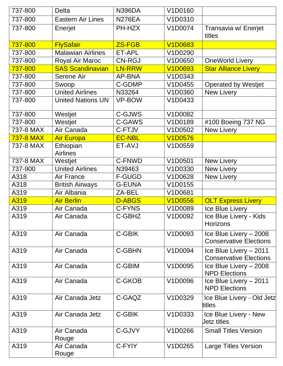| 737-800          | <b>Delta</b>                 | <b>N396DA</b> | V1D0160        |                                                         |
|------------------|------------------------------|---------------|----------------|---------------------------------------------------------|
| 737-800          | <b>Eastern Air Lines</b>     | <b>N276EA</b> | V1D0310        |                                                         |
| 737-800          | Enerjet                      | PH-HZX        | V1D0074        | Transavia w/ Enerjet                                    |
|                  |                              |               |                | titles                                                  |
| 737-800          | <b>FlySafair</b>             | <b>ZS-FGB</b> | <b>V1D0683</b> |                                                         |
| 737-800          | <b>Malawian Airlines</b>     | ET-APL        | V1D0290        |                                                         |
| 737-800          | Royal Air Maroc              | <b>CN-RGJ</b> | V1D0650        | <b>OneWorld Livery</b>                                  |
| 737-800          | <b>SAS Scandinavian</b>      | <b>LN-RRW</b> | <b>V1D0693</b> | <b>Star Alliance Livery</b>                             |
| 737-800          | Serene Air                   | <b>AP-BNA</b> | V1D0343        |                                                         |
| 737-800          | Swoop                        | C-GDMP        | V1D0455        | <b>Operated by Westjet</b>                              |
| 737-800          | <b>United Airlines</b>       | N33264        | V1D0360        | <b>New Livery</b>                                       |
| 737-800          | <b>United Nations UN</b>     | <b>VP-BOW</b> | V1D0433        |                                                         |
| 737-800          | Westjet                      | C-GJWS        | V1D0082        |                                                         |
| 737-800          | Westjet                      | C-GAWS        | V1D0189        | #100 Boeing 737 NG                                      |
| 737-8 MAX        | Air Canada                   | C-FTJV        | V1D0502        | <b>New Livery</b>                                       |
| <b>737-8 MAX</b> | <b>Air Europa</b>            | <b>EC-NBL</b> | <b>V1D0576</b> |                                                         |
| 737-8 MAX        | Ethiopian<br><b>Airlines</b> | ET-AVJ        | V1D0559        |                                                         |
| 737-8 MAX        | Westjet                      | C-FNWD        | V1D0501        | <b>New Livery</b>                                       |
| 737-900          | <b>United Airlines</b>       | N39463        | V1D0330        | <b>New Livery</b>                                       |
| A318             | <b>Air France</b>            | <b>F-GUGD</b> | V1D0628        | <b>New Livery</b>                                       |
| A318             | <b>British Airways</b>       | <b>G-EUNA</b> | V1D0155        |                                                         |
| A319             | Air Albania                  | ZA-BEL        | V1D0681        |                                                         |
| A319             | <b>Air Berlin</b>            | <b>D-ABGS</b> | <b>V1D0556</b> | <b>OLT Express Livery</b>                               |
| A319             | Air Canada                   | <b>C-FYNS</b> | V1D0089        | Ice Blue Livery                                         |
| A319             | Air Canada                   | C-GBHZ        | V1D0092        | Ice Blue Livery - Kids<br><b>Horizons</b>               |
| A319             | Air Canada                   | C-GBIK        | V1D0093        | Ice Blue Livery - 2008<br><b>Conservative Elections</b> |
| A319             | Air Canada                   | <b>C-GBHN</b> | V1D0094        | Ice Blue Livery - 2011<br><b>Conservative Elections</b> |
| A319             | Air Canada                   | C-GBIM        | V1D0095        | Ice Blue Livery - 2008<br><b>NPD Elections</b>          |
| A319             | Air Canada                   | C-GKOB        | V1D0096        | Ice Blue Livery - 2011<br><b>NPD Elections</b>          |
| A319             | Air Canada Jetz              | C-GAQZ        | V1D0329        | Ice Blue Livery - Old Jetz<br>titles                    |
| A319             | Air Canada Jetz              | C-GBIK        | V1D0333        | Ice Blue Livery - New<br>Jetz titles                    |
| A319             | Air Canada<br>Rouge          | C-GJVY        | V1D0266        | <b>Small Titles Version</b>                             |
| A319             | Air Canada<br>Rouge          | C-FYIY        | V1D0265        | Large Titles Version                                    |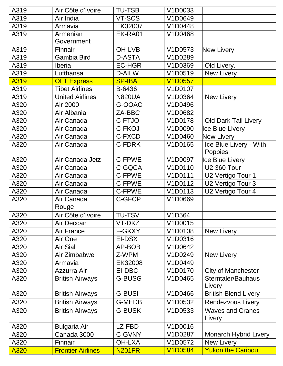| A319 | Air Côte d'Ivoire        | <b>TU-TSB</b> | V1D0033                    |                              |
|------|--------------------------|---------------|----------------------------|------------------------------|
| A319 | Air India                | VT-SCS        | V1D0649                    |                              |
| A319 | Armavia                  | EK32007       | V1D0448                    |                              |
| A319 | Armenian                 | EK-RA01       | V1D0468                    |                              |
|      | Government               |               |                            |                              |
| A319 | Finnair                  | <b>OH-LVB</b> | V1D0573                    | New Livery                   |
| A319 | <b>Gambia Bird</b>       | <b>D-ASTA</b> | V1D0289                    |                              |
| A319 | <b>Iberia</b>            | <b>EC-HGR</b> | V1D0369                    | Old Livery.                  |
| A319 | Lufthansa                | D-AILW        | V1D0519                    | New Livery                   |
| A319 | <b>OLT Express</b>       | <b>SP-IBA</b> | <b>V1D0557</b>             |                              |
| A319 | <b>Tibet Airlines</b>    | B-6436        | V1D0107                    |                              |
| A319 | <b>United Airlines</b>   | <b>N820UA</b> | V1D0364                    | New Livery                   |
| A320 | Air 2000                 | G-OOAC        | V1D0496                    |                              |
| A320 | Air Albania              | ZA-BBC        | V1D0682                    |                              |
| A320 | Air Canada               | C-FTJO        | V1D0178                    | <b>Old Dark Tail Livery</b>  |
| A320 | Air Canada               | C-FKOJ        | V1D0090                    | Ice Blue Livery              |
| A320 | Air Canada               | C-FXCD        | V1D0460                    | New Livery                   |
| A320 | Air Canada               | C-FDRK        | V1D0165                    | Ice Blue Livery - With       |
|      |                          |               |                            | Poppies                      |
| A320 | Air Canada Jetz          | C-FPWE        | V1D0097                    | Ice Blue Livery              |
| A320 | Air Canada               | C-GQCA        | V1D0110                    | <b>U2 360 Tour</b>           |
| A320 | Air Canada               | C-FPWE        | V1D0111                    | U2 Vertigo Tour 1            |
| A320 | Air Canada               | <b>C-FPWE</b> | V1D0112                    | U2 Vertigo Tour 3            |
| A320 | Air Canada               | C-FPWE        | V1D0113                    | U2 Vertigo Tour 4            |
| A320 | Air Canada               | C-GFCP        | V1D0669                    |                              |
|      | Rouge                    |               |                            |                              |
| A320 | Air Côte d'Ivoire        | <b>TU-TSV</b> | $\overline{\text{V1D564}}$ |                              |
| A320 | Air Deccan               | VT-DKZ        | V1D0015                    |                              |
| A320 | Air France               | F-GKXY        | V1D0108                    | New Livery                   |
| A320 | Air One                  | EI-DSX        | V1D0316                    |                              |
| A320 | Air Sial                 | AP-BOB        | V1D0642                    |                              |
| A320 | Air Zimbabwe             | Z-WPM         | V1D0249                    | New Livery                   |
| A320 | Armavia                  | EK32008       | V1D0449                    |                              |
| A320 | Azzurra Air              | EI-DBC        | V1D0170                    | <b>City of Manchester</b>    |
| A320 | <b>British Airways</b>   | <b>G-BUSG</b> | V1D0465                    | Sterntaler/Bauhaus           |
|      |                          |               |                            | Livery                       |
| A320 | <b>British Airways</b>   | <b>G-BUSI</b> | V1D0466                    | <b>British Blend Livery</b>  |
| A320 | <b>British Airways</b>   | <b>G-MEDB</b> | V1D0532                    | <b>Rendezvous Livery</b>     |
| A320 | <b>British Airways</b>   | <b>G-BUSK</b> | V1D0533                    | <b>Waves and Cranes</b>      |
|      |                          |               |                            | Livery                       |
| A320 | <b>Bulgaria Air</b>      | LZ-FBD        | V1D0016                    |                              |
| A320 | Canada 3000              | C-GVNY        | V1D0287                    | <b>Monarch Hybrid Livery</b> |
| A320 | Finnair                  | <b>OH-LXA</b> | V1D0572                    | <b>New Livery</b>            |
| A320 | <b>Frontier Airlines</b> | <b>N201FR</b> | <b>V1D0584</b>             | <b>Yukon the Caribou</b>     |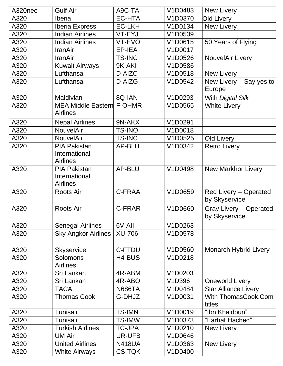| A320neo | <b>Gulf Air</b>                                         | A9C-TA        | V1D0483 | New Livery                                     |
|---------|---------------------------------------------------------|---------------|---------|------------------------------------------------|
| A320    | Iberia                                                  | <b>EC-HTA</b> | V1D0370 | <b>Old Livery</b>                              |
| A320    | <b>Iberia Express</b>                                   | <b>EC-LKH</b> | V1D0134 | New Livery                                     |
| A320    | <b>Indian Airlines</b>                                  | VT-EYJ        | V1D0539 |                                                |
| A320    | <b>Indian Airlines</b>                                  | VT-EVO        | V1D0615 | 50 Years of Flying                             |
| A320    | <b>IranAir</b>                                          | EP-IEA        | V1D0017 |                                                |
| A320    | <b>IranAir</b>                                          | <b>TS-INC</b> | V1D0526 | NouvelAir Livery                               |
| A320    | <b>Kuwait Airways</b>                                   | 9K-AKI        | V1D0586 |                                                |
| A320    | Lufthansa                                               | D-AIZC        | V1D0518 | New Livery                                     |
| A320    | Lufthansa                                               | D-AIZG        | V1D0542 | New Livery – Say yes to<br>Europe              |
| A320    | Maldivian                                               | 8Q-IAN        | V1D0293 | With Digital Silk                              |
| A320    | <b>MEA Middle Eastern F-OHMR</b><br><b>Airlines</b>     |               | V1D0565 | <b>White Livery</b>                            |
| A320    | <b>Nepal Airlines</b>                                   | 9N-AKX        | V1D0291 |                                                |
| A320    | NouvelAir                                               | <b>TS-INO</b> | V1D0018 |                                                |
| A320    | NouvelAir                                               | <b>TS-INC</b> | V1D0525 | Old Livery                                     |
| A320    | <b>PIA Pakistan</b><br>International<br><b>Airlines</b> | <b>AP-BLU</b> | V1D0342 | <b>Retro Livery</b>                            |
| A320    | <b>PIA Pakistan</b><br>International<br><b>Airlines</b> | AP-BLU        | V1D0498 | <b>New Markhor Livery</b>                      |
| A320    | <b>Roots Air</b>                                        | C-FRAA        | V1D0659 | Red Livery - Operated<br>by Skyservice         |
| A320    | <b>Roots Air</b>                                        | C-FRAR        | V1D0660 | <b>Gray Livery - Operated</b><br>by Skyservice |
| A320    | <b>Senegal Airlines</b>                                 | 6V-All        | V1D0263 |                                                |
| A320    | <b>Sky Angkor Airlines</b>                              | <b>XU-706</b> | V1D0578 |                                                |
| A320    | <b>Skyservice</b>                                       | <b>C-FTDU</b> | V1D0560 | <b>Monarch Hybrid Livery</b>                   |
| A320    | Solomons<br><b>Airlines</b>                             | H4-BUS        | V1D0218 |                                                |
| A320    | Sri Lankan                                              | 4R-ABM        | V1D0203 |                                                |
| A320    | Sri Lankan                                              | 4R-ABO        | V1D396  | <b>Oneworld Livery</b>                         |
| A320    | <b>TACA</b>                                             | <b>N686TA</b> | V1D0484 | <b>Star Alliance Livery</b>                    |
| A320    | <b>Thomas Cook</b>                                      | G-DHJZ        | V1D0031 | With ThomasCook.Com<br>titles.                 |
| A320    | Tunisair                                                | <b>TS-IMN</b> | V1D0019 | "Ibn Khaldoun"                                 |
| A320    | Tunisair                                                | <b>TS-IMW</b> | V1D0373 | "Farhat Hached"                                |
| A320    | <b>Turkish Airlines</b>                                 | <b>TC-JPA</b> | V1D0210 | <b>New Livery</b>                              |
| A320    | <b>UM Air</b>                                           | <b>UR-UFB</b> | V1D0646 |                                                |
| A320    | <b>United Airlines</b>                                  | <b>N418UA</b> | V1D0363 | New Livery                                     |
| A320    | <b>White Airways</b>                                    | <b>CS-TQK</b> | V1D0400 |                                                |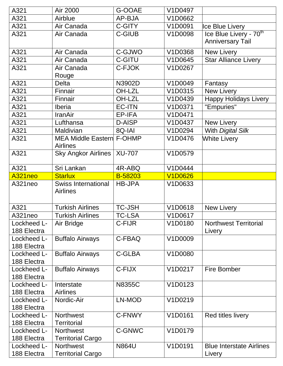| A321                       | Air 2000                                            | G-OOAE        | V1D0497        |                                    |
|----------------------------|-----------------------------------------------------|---------------|----------------|------------------------------------|
| A321                       | Airblue                                             | AP-BJA        | V1D0662        |                                    |
| A321                       | Air Canada                                          | C-GITY        | V1D0091        | Ice Blue Livery                    |
| A321                       | Air Canada                                          | <b>C-GIUB</b> | V1D0098        | Ice Blue Livery - 70 <sup>th</sup> |
|                            |                                                     |               |                | <b>Anniversary Tail</b>            |
| A321                       | Air Canada                                          | C-GJWO        | V1D0368        | <b>New Livery</b>                  |
| A321                       | Air Canada                                          | <b>C-GITU</b> | V1D0645        | <b>Star Alliance Livery</b>        |
| A321                       | Air Canada                                          | C-FJOK        | V1D0267        |                                    |
|                            | Rouge                                               |               |                |                                    |
| A321                       | <b>Delta</b>                                        | N3902D        | V1D0049        | Fantasy                            |
| A321                       | Finnair                                             | OH-LZL        | V1D0315        | <b>New Livery</b>                  |
| A321                       | Finnair                                             | <b>OH-LZL</b> | V1D0439        | <b>Happy Holidays Livery</b>       |
| A321                       | Iberia                                              | <b>EC-ITN</b> | V1D0371        | "Empuries"                         |
| A321                       | <b>IranAir</b>                                      | EP-IFA        | V1D0471        |                                    |
| A321                       | Lufthansa                                           | <b>D-AISP</b> | V1D0437        | <b>New Livery</b>                  |
| A321                       | Maldivian                                           | 8Q-IAI        | V1D0294        | With Digital Silk                  |
| A321                       | <b>MEA Middle Eastern F-OHMP</b><br><b>Airlines</b> |               | V1D0476        | <b>White Livery</b>                |
| A321                       | <b>Sky Angkor Airlines</b>                          | <b>XU-707</b> | V1D0579        |                                    |
| A321                       | Sri Lankan                                          | 4R-ABQ        | V1D0444        |                                    |
| A321neo                    | <b>Starlux</b>                                      | B-58203       | <b>V1D0626</b> |                                    |
| A321neo                    | <b>Swiss International</b><br><b>Airlines</b>       | <b>HB-JPA</b> | V1D0633        |                                    |
| A321                       | <b>Turkish Airlines</b>                             | <b>TC-JSH</b> | V1D0618        | New Livery                         |
| A321neo                    | <b>Turkish Airlines</b>                             | TC-LSA        | V1D0617        |                                    |
| Lockheed L-                | Air Bridge                                          | C-FIJR        | V1D0180        | <b>Northwest Territorial</b>       |
| 188 Electra                |                                                     |               |                | Livery                             |
| Lockheed L-                | <b>Buffalo Airways</b>                              | C-FBAQ        | V1D0009        |                                    |
| 188 Electra                |                                                     |               |                |                                    |
| Lockheed L-                | <b>Buffalo Airways</b>                              | <b>C-GLBA</b> | V1D0080        |                                    |
| 188 Electra                |                                                     |               |                |                                    |
| Lockheed L-                | <b>Buffalo Airways</b>                              | C-FIJX        | V1D0217        | <b>Fire Bomber</b>                 |
| 188 Electra                |                                                     |               |                |                                    |
| Lockheed L-                | Interstate                                          | <b>N8355C</b> | V1D0123        |                                    |
| 188 Electra                |                                                     |               |                |                                    |
| Lockheed L-                | <b>Airlines</b>                                     |               |                |                                    |
|                            | Nordic-Air                                          | LN-MOD        | V1D0219        |                                    |
| 188 Electra                |                                                     |               |                |                                    |
| Lockheed L-                | <b>Northwest</b>                                    | C-FNWY        | V1D0161        | Red titles livery                  |
| 188 Electra                | <b>Territorial</b>                                  |               |                |                                    |
| Lockheed L-                | <b>Northwest</b>                                    | C-GNWC        | V1D0179        |                                    |
| 188 Electra<br>Lockheed L- | <b>Territorial Cargo</b><br><b>Northwest</b>        | <b>N864U</b>  | V1D0191        | <b>Blue Interstate Airlines</b>    |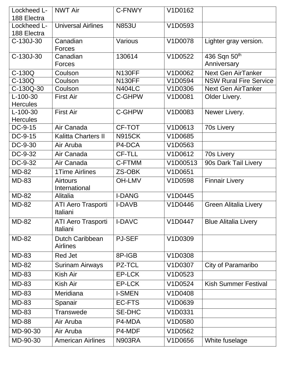| Lockheed L-     | <b>NWT Air</b>                               | C-FNWY        | V1D0162  |                               |
|-----------------|----------------------------------------------|---------------|----------|-------------------------------|
| 188 Electra     |                                              |               |          |                               |
| Lockheed L-     | <b>Universal Airlines</b>                    | <b>N853U</b>  | V1D0593  |                               |
| 188 Electra     |                                              |               |          |                               |
| C-130J-30       | Canadian<br>Forces                           | Various       | V1D0078  | Lighter gray version.         |
| C-130J-30       | Canadian                                     | 130614        | V1D0522  | 436 Sqn 50th                  |
|                 | <b>Forces</b>                                |               |          | Anniversary                   |
| $C-130Q$        | Coulson                                      | <b>N130FF</b> | V1D0062  | <b>Next Gen AirTanker</b>     |
| $C-130Q$        | Coulson                                      | <b>N130FF</b> | V1D0594  | <b>NSW Rural Fire Service</b> |
| C-130Q-30       | Coulson                                      | <b>N404LC</b> | V1D0306  | <b>Next Gen AirTanker</b>     |
| $L-100-30$      | <b>First Air</b>                             | <b>C-GHPW</b> | V1D0081  | Older Livery.                 |
| <b>Hercules</b> |                                              |               |          |                               |
| $L-100-30$      | <b>First Air</b>                             | <b>C-GHPW</b> | V1D0083  | Newer Livery.                 |
| <b>Hercules</b> | Air Canada                                   | CF-TOT        | V1D0613  |                               |
| DC-9-15         |                                              |               |          | 70s Livery                    |
| DC-9-15         | <b>Kalitta Charters II</b>                   | <b>N915CK</b> | V1D0685  |                               |
| DC-9-30         | Air Aruba                                    | P4-DCA        | V1D0563  |                               |
| DC-9-32         | Air Canada                                   | CF-TLL        | V1D0612  | 70s Livery                    |
| DC-9-32         | Air Canada                                   | C-FTMM        | V1D00513 | 90s Dark Tail Livery          |
| <b>MD-82</b>    | <b>1Time Airlines</b>                        | ZS-OBK        | V1D0651  |                               |
| <b>MD-83</b>    | <b>Airtours</b><br>International             | <b>OH-LMV</b> | V1D0598  | <b>Finnair Livery</b>         |
| <b>MD-82</b>    | <b>Alitalia</b>                              | <b>I-DANG</b> | V1D0445  |                               |
| <b>MD-82</b>    | <b>ATI Aero Trasporti</b><br>Italiani        | <b>I-DAVB</b> | V1D0446  | <b>Green Alitalia Livery</b>  |
| <b>MD-82</b>    | <b>ATI Aero Trasporti</b><br><b>Italiani</b> | <b>I-DAVC</b> | V1D0447  | <b>Blue Alitalia Livery</b>   |
| <b>MD-82</b>    | Dutch Caribbean<br><b>Airlines</b>           | <b>PJ-SEF</b> | V1D0309  |                               |
| <b>MD-83</b>    | Red Jet                                      | 8P-IGB        | V1D0308  |                               |
| <b>MD-82</b>    | <b>Surinam Airways</b>                       | <b>PZ-TCL</b> | V1D0307  | City of Paramaribo            |
| <b>MD-83</b>    | Kish Air                                     | EP-LCK        | V1D0523  |                               |
| <b>MD-83</b>    | Kish Air                                     | EP-LCK        | V1D0524  | <b>Kish Summer Festival</b>   |
| <b>MD-83</b>    | Meridiana                                    | <b>I-SMEN</b> | V1D0408  |                               |
| <b>MD-83</b>    | Spanair                                      | <b>EC-FTS</b> | V1D0639  |                               |
| <b>MD-83</b>    | <b>Transwede</b>                             | <b>SE-DHC</b> | V1D0331  |                               |
| <b>MD-88</b>    | Air Aruba                                    | P4-MDA        | V1D0580  |                               |
| MD-90-30        | Air Aruba                                    | P4-MDF        | V1D0562  |                               |
| MD-90-30        | <b>American Airlines</b>                     | <b>N903RA</b> | V1D0656  | White fuselage                |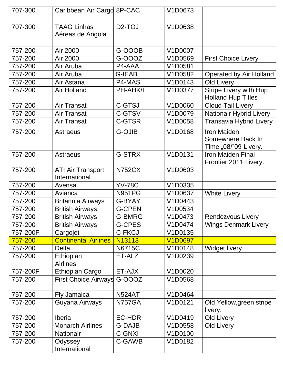| 707-300  | Caribbean Air Cargo 8P-CAC                |                     | V1D0673        |                                                                 |
|----------|-------------------------------------------|---------------------|----------------|-----------------------------------------------------------------|
| 707-300  | <b>TAAG Linhas</b><br>Aéreas de Angola    | D <sub>2</sub> -TOJ | V1D0638        |                                                                 |
| 757-200  | Air 2000                                  | G-OOOB              | V1D0007        |                                                                 |
| 757-200  | Air 2000                                  | G-000Z              | V1D0569        | <b>First Choice Livery</b>                                      |
| 757-200  | Air Aruba                                 | P4-AAA              | V1D0581        |                                                                 |
| 757-200  | Air Aruba                                 | <b>G-IEAB</b>       | V1D0582        | Operated by Air Holland                                         |
| 757-200  | Air Astana                                | P4-MAS              | V1D0143        | Old Livery                                                      |
| 757-200  | <b>Air Holland</b>                        | PH-AHK/I            | V1D0377        | <b>Stripe Livery with Hup</b><br><b>Holland Hup Titles</b>      |
| 757-200  | <b>Air Transat</b>                        | <b>C-GTSJ</b>       | V1D0060        | <b>Cloud Tail Livery</b>                                        |
| 757-200  | <b>Air Transat</b>                        | C-GTSV              | V1D0079        | <b>Nationair Hybrid Livery</b>                                  |
| 757-200  | <b>Air Transat</b>                        | <b>C-GTSR</b>       | V1D0058        | <b>Transavia Hybrid Livery</b>                                  |
| 757-200  | <b>Astraeus</b>                           | <b>G-OJIB</b>       | V1D0168        | <b>Iron Maiden</b><br>Somewhere Back In<br>Time "08/"09 Livery. |
| 757-200  | <b>Astraeus</b>                           | <b>G-STRX</b>       | V1D0131        | <b>Iron Maiden Final</b><br>Frontier 2011 Livery.               |
| 757-200  | <b>ATI Air Transport</b><br>International | <b>N752CX</b>       | V1D0603        |                                                                 |
| 757-200  | Avensa                                    | <b>YV-78C</b>       | V1D0335        |                                                                 |
| 757-200  | Avianca                                   | <b>N951PG</b>       | V1D0637        | <b>White Livery</b>                                             |
| 757-200  | <b>Britannia Airways</b>                  | G-BYAY              | V1D0443        |                                                                 |
| 757-200  | <b>British Airways</b>                    | <b>G-CPEN</b>       | V1D0534        |                                                                 |
| 757-200  | <b>British Airways</b>                    | <b>G-BMRG</b>       | V1D0473        | <b>Rendezvous Livery</b>                                        |
| 757-200  | <b>British Airways</b>                    | <b>G-CPES</b>       | V1D0474        | <b>Wings Denmark Livery</b>                                     |
| 757-200F | Cargojet                                  | <b>C-FKCJ</b>       | V1D0135        |                                                                 |
| 757-200  | <b>Continental Airlines</b>               | N13113              | <b>V1D0697</b> |                                                                 |
| 757-200  | <b>Delta</b>                              | <b>N6715C</b>       | V1D0148        | <b>Widget livery</b>                                            |
| 757-200  | Ethiopian<br><b>Airlines</b>              | ET-ALZ              | V1D0239        |                                                                 |
| 757-200F | Ethiopian Cargo                           | ET-AJX              | V1D0020        |                                                                 |
| 757-200  | First Choice Airways G-OOOZ               |                     | V1D0568        |                                                                 |
| 757-200  | <b>Fly Jamaica</b>                        | <b>N524AT</b>       | V1D0464        |                                                                 |
| 757-200  | Guyana Airways                            | <b>N757GA</b>       | V1D0121        | Old Yellow, green stripe<br>livery.                             |
| 757-200  | Iberia                                    | <b>EC-HDR</b>       | V1D0419        | Old Livery                                                      |
| 757-200  | <b>Monarch Airlines</b>                   | <b>G-DAJB</b>       | V1D0558        | Old Livery                                                      |
| 757-200  | <b>Nationair</b>                          | C-GNXI              | V1D0100        |                                                                 |
| 757-200  | Odyssey<br>International                  | C-GAWB              | V1D0182        |                                                                 |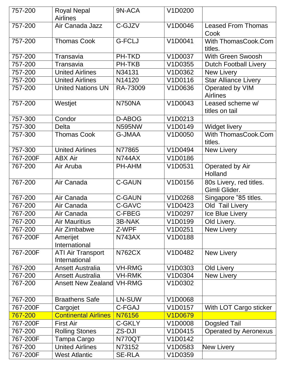| 757-200  | <b>Royal Nepal</b><br><b>Airlines</b>     | 9N-ACA        | V1D0200        |                                          |
|----------|-------------------------------------------|---------------|----------------|------------------------------------------|
| 757-200  | Air Canada Jazz                           | C-GJZV        | V1D0046        | <b>Leased From Thomas</b><br>Cook        |
| 757-200  | <b>Thomas Cook</b>                        | <b>G-FCLJ</b> | V1D0041        | With ThomasCook.Com<br>titles.           |
| 757-200  | Transavia                                 | <b>PH-TKD</b> | V1D0037        | With Green Swoosh                        |
| 757-200  | Transavia                                 | <b>PH-TKB</b> | V1D0355        | <b>Dutch Football Livery</b>             |
| 757-200  | <b>United Airlines</b>                    | N34131        | V1D0362        | New Livery                               |
| 757-200  | <b>United Airlines</b>                    | N14120        | V1D0116        | <b>Star Alliance Livery</b>              |
| 757-200  | <b>United Nations UN</b>                  | RA-73009      | V1D0636        | Operated by VIM<br><b>Airlines</b>       |
| 757-200  | Westjet                                   | N750NA        | V1D0043        | Leased scheme w/<br>titles on tail       |
| 757-300  | Condor                                    | D-ABOG        | V1D0213        |                                          |
| 757-300  | <b>Delta</b>                              | <b>N595NW</b> | V1D0149        | Widget livery                            |
| 757-300  | <b>Thomas Cook</b>                        | <b>G-JMAA</b> | V1D0050        | With ThomasCook.Com<br>titles.           |
| 757-300  | <b>United Airlines</b>                    | N77865        | V1D0494        | <b>New Livery</b>                        |
| 767-200F | <b>ABX Air</b>                            | <b>N744AX</b> | V1D0186        |                                          |
| 767-200  | Air Aruba                                 | PH-AHM        | V1D0531        | Operated by Air<br>Holland               |
| 767-200  | Air Canada                                | <b>C-GAUN</b> | V1D0156        | 80s Livery, red titles.<br>Gimli Glider. |
| 767-200  | Air Canada                                | <b>C-GAUN</b> | V1D0268        | Singapore "85 titles.                    |
| 767-200  | Air Canada                                | C-GAVC        | V1D0423        | Old Tail Livery                          |
| 767-200  | Air Canada                                | <b>C-FBEG</b> | V1D0297        | Ice Blue Livery                          |
| 767-200  | <b>Air Mauritius</b>                      | 3B-NAK        | V1D0199        | Old Livery.                              |
| 767-200  | Air Zimbabwe                              | Z-WPF         | V1D0251        | <b>New Livery</b>                        |
| 767-200F | Amerijet<br>International                 | <b>N743AX</b> | V1D0188        |                                          |
| 767-200F | <b>ATI Air Transport</b><br>International | <b>N762CX</b> | V1D0482        | New Livery                               |
| 767-200  | <b>Ansett Australia</b>                   | <b>VH-RMG</b> | V1D0303        | Old Livery                               |
| 767-200  | <b>Ansett Australia</b>                   | <b>VH-RMK</b> | V1D0304        | New Livery                               |
| 767-200  | <b>Ansett New Zealand</b>                 | <b>VH-RMG</b> | V1D0302        |                                          |
| 767-200  | <b>Braathens Safe</b>                     | LN-SUW        | V1D0068        |                                          |
| 767-200F | Cargojet                                  | C-FGAJ        | V1D0157        | With LOT Cargo sticker                   |
| 767-200  | <b>Continental Airlines</b>               | N76156        | <b>V1D0679</b> |                                          |
| 767-200F | <b>First Air</b>                          | C-GKLY        | V1D0008        | <b>Dogsled Tail</b>                      |
| 767-200  | <b>Rolling Stones</b>                     | ZS-DJI        | V1D0415        | <b>Operated by Aeronexus</b>             |
| 767-200F | Tampa Cargo                               | N770QT        | V1D0142        |                                          |
| 767-200  | <b>United Airlines</b>                    | N73152        | V1D0583        | <b>New Livery</b>                        |
| 767-200F | <b>West Atlantic</b>                      | <b>SE-RLA</b> | V1D0359        |                                          |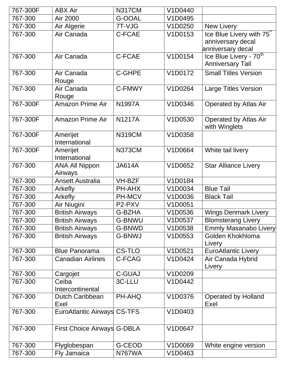| 767-300F | <b>ABX Air</b>                   | <b>N317CM</b> | V1D0440 |                                                                                |
|----------|----------------------------------|---------------|---------|--------------------------------------------------------------------------------|
| 767-300  | Air 2000                         | G-OOAL        | V1D0495 |                                                                                |
| 767-300  | Air Algerie                      | 7T-VJG        | V1D0250 | <b>New Livery</b>                                                              |
| 767-300  | Air Canada                       | C-FCAE        | V1D0153 | Ice Blue Livery with 75 <sup>"</sup><br>anniversary decal<br>anniversary decal |
| 767-300  | Air Canada                       | C-FCAE        | V1D0154 | Ice Blue Livery - 70 <sup>th</sup><br><b>Anniversary Tail</b>                  |
| 767-300  | Air Canada<br>Rouge              | <b>C-GHPE</b> | V1D0172 | <b>Small Titles Version</b>                                                    |
| 767-300  | Air Canada<br>Rouge              | C-FMWY        | V1D0264 | <b>Large Titles Version</b>                                                    |
| 767-300F | <b>Amazon Prime Air</b>          | <b>N1997A</b> | V1D0346 | <b>Operated by Atlas Air</b>                                                   |
| 767-300F | <b>Amazon Prime Air</b>          | <b>N1217A</b> | V1D0530 | <b>Operated by Atlas Air</b><br>with Winglets                                  |
| 767-300F | Amerijet<br>International        | <b>N319CM</b> | V1D0358 |                                                                                |
| 767-300F | Amerijet<br>International        | <b>N373CM</b> | V1D0664 | White tail livery                                                              |
| 767-300  | <b>ANA All Nippon</b><br>Airways | <b>JA614A</b> | V1D0652 | <b>Star Alliance Livery</b>                                                    |
| 767-300  | <b>Ansett Australia</b>          | <b>VH-BZF</b> | V1D0184 |                                                                                |
| 767-300  | Arkefly                          | PH-AHX        | V1D0034 | <b>Blue Tail</b>                                                               |
| 767-300  | Arkefly                          | <b>PH-MCV</b> | V1D0036 | <b>Black Tail</b>                                                              |
| 767-300  | Air Niugini                      | P2-PXV        | V1D0051 |                                                                                |
| 767-300  | <b>British Airways</b>           | <b>G-BZHA</b> | V1D0536 | <b>Wings Denmark Livery</b>                                                    |
| 767-300  | <b>British Airways</b>           | <b>G-BNWU</b> | V1D0537 | <b>Blomsterang Livery</b>                                                      |
| 767-300  | <b>British Airways</b>           | G-BNWD        | V1D0538 | <b>Emmly Masanabo Livery</b>                                                   |
| 767-300  | <b>British Airways</b>           | <b>G-BNWJ</b> | V1D0553 | Golden Khokhloma<br>Livery                                                     |
| 767-300  | <b>Blue Panorama</b>             | <b>CS-TLO</b> | V1D0521 | <b>EuroAtlantic Livery</b>                                                     |
| 767-300  | <b>Canadian Airlines</b>         | C-FCAG        | V1D0424 | Air Canada Hybrid<br>Livery                                                    |
| 767-300  | Cargojet                         | <b>C-GUAJ</b> | V1D0209 |                                                                                |
| 767-300  | Ceiba<br>Intercontinental        | 3C-LLU        | V1D0442 |                                                                                |
| 767-300  | <b>Dutch Caribbean</b><br>Exel   | PH-AHQ        | V1D0376 | <b>Operated by Holland</b><br>Exel                                             |
| 767-300  | EuroAtlantic Airways CS-TFS      |               | V1D0403 |                                                                                |
| 767-300  | First Choice Airways G-DBLA      |               | V1D0647 |                                                                                |
| 767-300  | Flyglobespan                     | <b>G-CEOD</b> | V1D0069 | White engine version                                                           |
| 767-300  | Fly Jamaica                      | N767WA        | V1D0463 |                                                                                |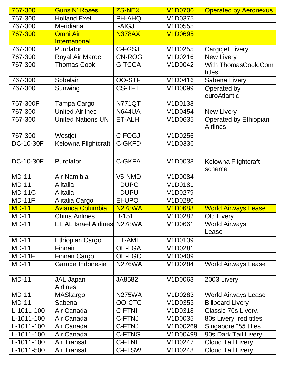| 767-300       | <b>Guns N' Roses</b>                | <b>ZS-NEX</b> | <b>V1D0700</b> | <b>Operated by Aeronexus</b>             |
|---------------|-------------------------------------|---------------|----------------|------------------------------------------|
| 767-300       | <b>Holland Exel</b>                 | PH-AHQ        | V1D0375        |                                          |
| 767-300       | Meridiana                           | <b>I-AIGJ</b> | V1D0555        |                                          |
| 767-300       | <b>Omni Air</b>                     | <b>N378AX</b> | <b>V1D0695</b> |                                          |
|               | <b>International</b>                |               |                |                                          |
| 767-300       | Purolator                           | C-FGSJ        | V1D0255        | <b>Cargojet Livery</b>                   |
| 767-300       | Royal Air Maroc                     | <b>CN-ROG</b> | V1D0216        | <b>New Livery</b>                        |
| 767-300       | <b>Thomas Cook</b>                  | <b>G-TCCA</b> | V1D0042        | With ThomasCook.Com<br>titles.           |
| 767-300       | Sobelair                            | <b>OO-STF</b> | V1D0416        | Sabena Livery                            |
| 767-300       | Sunwing                             | <b>CS-TFT</b> | V1D0099        | Operated by<br>euroAtlantic              |
| 767-300F      | Tampa Cargo                         | <b>N771QT</b> | V1D0138        |                                          |
| 767-300       | <b>United Airlines</b>              | <b>N644UA</b> | V1D0454        | New Livery                               |
| 767-300       | <b>United Nations UN</b>            | ET-ALH        | V1D0635        | Operated by Ethiopian<br><b>Airlines</b> |
| 767-300       | Westjet                             | C-FOGJ        | V1D0256        |                                          |
| DC-10-30F     | Kelowna Flightcraft                 | <b>C-GKFD</b> | V1D0336        |                                          |
| DC-10-30F     | Purolator                           | <b>C-GKFA</b> | V1D0038        | Kelowna Flightcraft<br>scheme            |
| <b>MD-11</b>  | Air Namibia                         | V5-NMD        | V1D0084        |                                          |
| <b>MD-11</b>  | <b>Alitalia</b>                     | <b>I-DUPC</b> | V1D0181        |                                          |
| <b>MD-11C</b> | Alitalia                            | <b>I-DUPU</b> | V1D0279        |                                          |
| <b>MD-11F</b> | Alitalia Cargo                      | EI-UPO        | V1D0280        |                                          |
| <b>MD-11</b>  | <b>Avianca Columbia</b>             | <b>N278WA</b> | <b>V1D0688</b> | <b>World Airways Lease</b>               |
| <b>MD-11</b>  | <b>China Airlines</b>               | <b>B-151</b>  | V1D0282        | <b>Old Livery</b>                        |
| <b>MD-11</b>  | <b>EL AL Israel Airlines N278WA</b> |               | V1D0661        | <b>World Airways</b><br>Lease            |
| <b>MD-11</b>  | Ethiopian Cargo                     | ET-AML        | V1D0139        |                                          |
| <b>MD-11</b>  | Finnair                             | <b>OH-LGA</b> | V1D0281        |                                          |
| $MD-11F$      | <b>Finnair Cargo</b>                | <b>OH-LGC</b> | V1D0409        |                                          |
| $MD-11$       | Garuda Indonesia                    | <b>N276WA</b> | V1D0284        | <b>World Airways Lease</b>               |
| <b>MD-11</b>  | <b>JAL Japan</b><br><b>Airlines</b> | JA8582        | V1D0063        | 2003 Livery                              |
| $MD-11$       | MASkargo                            | <b>N275WA</b> | V1D0283        | <b>World Airways Lease</b>               |
| <b>MD-11</b>  | Sabena                              | OO-CTC        | V1D0353        | <b>Billboard Livery</b>                  |
| L-1011-100    | Air Canada                          | <b>C-FTNI</b> | V1D0318        | Classic 70s Livery.                      |
| L-1011-100    | Air Canada                          | <b>C-FTNJ</b> | V1D0035        | 80s Livery, red titles.                  |
| L-1011-100    | Air Canada                          | <b>C-FTNJ</b> | V1D00269       | Singapore "85 titles.                    |
| L-1011-100    | Air Canada                          | <b>C-FTNG</b> | V1D00499       | 90s Dark Tail Livery                     |
| L-1011-100    | <b>Air Transat</b>                  | <b>C-FTNL</b> | V1D0247        | <b>Cloud Tail Livery</b>                 |
| L-1011-500    | Air Transat                         | <b>C-FTSW</b> | V1D0248        | <b>Cloud Tail Livery</b>                 |
|               |                                     |               |                |                                          |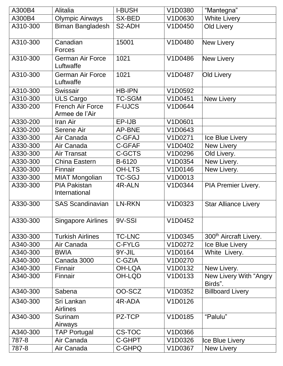| A300B4   | Alitalia                                  | <b>I-BUSH</b> | V1D0380 | "Mantegna"                         |
|----------|-------------------------------------------|---------------|---------|------------------------------------|
| A300B4   | <b>Olympic Airways</b>                    | SX-BED        | V1D0630 | <b>White Livery</b>                |
| A310-300 | Biman Bangladesh                          | S2-ADH        | V1D0450 | Old Livery                         |
| A310-300 | Canadian<br>Forces                        | 15001         | V1D0480 | New Livery                         |
| A310-300 | <b>German Air Force</b><br>Luftwaffe      | 1021          | V1D0486 | <b>New Livery</b>                  |
| A310-300 | <b>German Air Force</b><br>Luftwaffe      | 1021          | V1D0487 | Old Livery                         |
| A310-300 | Swissair                                  | <b>HB-IPN</b> | V1D0592 |                                    |
| A310-300 | <b>ULS Cargo</b>                          | <b>TC-SGM</b> | V1D0451 | New Livery                         |
| A330-200 | <b>French Air Force</b><br>Armee de l'Air | <b>F-UJCS</b> | V1D0644 |                                    |
| A330-200 | Iran Air                                  | EP-IJB        | V1D0601 |                                    |
| A330-200 | Serene Air                                | <b>AP-BNE</b> | V1D0643 |                                    |
| A330-300 | Air Canada                                | <b>C-GFAJ</b> | V1D0271 | Ice Blue Livery                    |
| A330-300 | Air Canada                                | C-GFAF        | V1D0402 | New Livery                         |
| A330-300 | <b>Air Transat</b>                        | C-GCTS        | V1D0296 | Old Livery.                        |
| A330-300 | China Eastern                             | B-6120        | V1D0354 | New Livery.                        |
| A330-300 | Finnair                                   | <b>OH-LTS</b> | V1D0146 | New Livery.                        |
| A330-300 | <b>MIAT Mongolian</b>                     | <b>TC-SGJ</b> | V1D0013 |                                    |
| A330-300 | <b>PIA Pakistan</b><br>International      | 4R-ALN        | V1D0344 | <b>PIA Premier Livery.</b>         |
| A330-300 | <b>SAS Scandinavian</b>                   | <b>LN-RKN</b> | V1D0323 | <b>Star Alliance Livery</b>        |
| A330-300 | <b>Singapore Airlines</b>                 | 9V-SSI        | V1D0452 |                                    |
| A330-300 | <b>Turkish Airlines</b>                   | <b>TC-LNC</b> | V1D0345 | 300 <sup>th</sup> Aircraft Livery. |
| A340-300 | Air Canada                                | C-FYLG        | V1D0272 | Ice Blue Livery                    |
| A340-300 | <b>BWIA</b>                               | 9Y-JIL        | V1D0164 | White Livery.                      |
| A340-300 | Canada 3000                               | C-GZIA        | V1D0270 |                                    |
| A340-300 | Finnair                                   | <b>OH-LQA</b> | V1D0132 | New Livery.                        |
| A340-300 | Finnair                                   | OH-LQD        | V1D0133 | New Livery With "Angry<br>Birds".  |
| A340-300 | Sabena                                    | OO-SCZ        | V1D0352 | <b>Billboard Livery</b>            |
| A340-300 | Sri Lankan<br><b>Airlines</b>             | 4R-ADA        | V1D0126 |                                    |
| A340-300 | Surinam<br>Airways                        | PZ-TCP        | V1D0185 | "Palulu"                           |
| A340-300 | <b>TAP Portugal</b>                       | CS-TOC        | V1D0366 |                                    |
| 787-8    | Air Canada                                | C-GHPT        | V1D0326 | Ice Blue Livery                    |
| 787-8    | Air Canada                                | C-GHPQ        | V1D0367 | New Livery                         |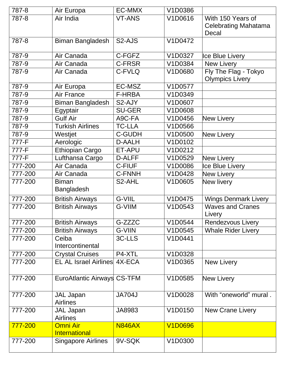| 787-8   | Air Europa                              | <b>EC-MMX</b>        | V1D0386        |                                                           |
|---------|-----------------------------------------|----------------------|----------------|-----------------------------------------------------------|
| 787-8   | Air India                               | <b>VT-ANS</b>        | V1D0616        | With 150 Years of<br><b>Celebrating Mahatama</b><br>Decal |
| 787-8   | <b>Biman Bangladesh</b>                 | S <sub>2</sub> -AJS  | V1D0472        |                                                           |
| 787-9   | Air Canada                              | C-FGFZ               | V1D0327        | Ice Blue Livery                                           |
| 787-9   | Air Canada                              | <b>C-FRSR</b>        | V1D0384        | <b>New Livery</b>                                         |
| 787-9   | Air Canada                              | C-FVLQ               | V1D0680        | Fly The Flag - Tokyo<br><b>Olympics Livery</b>            |
| 787-9   | Air Europa                              | EC-MSZ               | V1D0577        |                                                           |
| 787-9   | <b>Air France</b>                       | <b>F-HRBA</b>        | V1D0349        |                                                           |
| 787-9   | <b>Biman Bangladesh</b>                 | S2-AJY               | V1D0607        |                                                           |
| 787-9   | Egyptair                                | <b>SU-GER</b>        | V1D0608        |                                                           |
| 787-9   | <b>Gulf Air</b>                         | A9C-FA               | V1D0456        | New Livery                                                |
| 787-9   | <b>Turkish Airlines</b>                 | <b>TC-LLA</b>        | V1D0566        |                                                           |
| 787-9   | Westjet                                 | <b>C-GUDH</b>        | V1D0500        | New Livery                                                |
| 777-F   | Aerologic                               | <b>D-AALH</b>        | V1D0102        |                                                           |
| 777-F   | <b>Ethiopian Cargo</b>                  | ET-APU               | V1D0212        |                                                           |
| 777-F   | Lufthansa Cargo                         | D-ALFF               | V1D0529        | New Livery                                                |
| 777-200 | Air Canada                              | <b>C-FIUF</b>        | V1D0086        | Ice Blue Livery                                           |
| 777-200 | Air Canada                              | <b>C-FNNH</b>        | V1D0428        | <b>New Livery</b>                                         |
| 777-200 | <b>Biman</b><br><b>Bangladesh</b>       | S2-AHL               | V1D0605        | New livery                                                |
| 777-200 | <b>British Airways</b>                  | G-VIIL               | V1D0475        | <b>Wings Denmark Livery</b>                               |
| 777-200 | <b>British Airways</b>                  | G-VIIM               | V1D0543        | <b>Waves and Cranes</b><br>Livery                         |
| 777-200 | <b>British Airways</b>                  | $G-ZZZZ\overline{C}$ | V1D0544        | <b>Rendezvous Livery</b>                                  |
| 777-200 | <b>British Airways</b>                  | <b>G-VIIN</b>        | V1D0545        | <b>Whale Rider Livery</b>                                 |
| 777-200 | Ceiba<br>Intercontinental               | 3C-LLS               | V1D0441        |                                                           |
| 777-200 | <b>Crystal Cruises</b>                  | P4-XTL               | V1D0328        |                                                           |
| 777-200 | <b>EL AL Israel Airlines</b>            | 4X-ECA               | V1D0365        | New Livery                                                |
| 777-200 | EuroAtlantic Airways CS-TFM             |                      | V1D0585        | New Livery                                                |
| 777-200 | <b>JAL Japan</b><br><b>Airlines</b>     | <b>JA704J</b>        | V1D0028        | With "oneworld" mural.                                    |
| 777-200 | <b>JAL Japan</b><br><b>Airlines</b>     | JA8983               | V1D0150        | <b>New Crane Livery</b>                                   |
| 777-200 | <b>Omni Air</b><br><b>International</b> | <b>N846AX</b>        | <b>V1D0696</b> |                                                           |
| 777-200 | <b>Singapore Airlines</b>               | 9V-SQK               | V1D0300        |                                                           |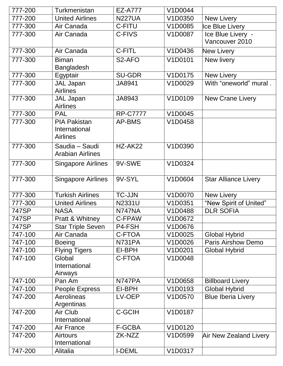| 777-200 | Turkmenistan                                            | <b>EZ-A777</b>      | V1D0044 |                                     |
|---------|---------------------------------------------------------|---------------------|---------|-------------------------------------|
| 777-200 | <b>United Airlines</b>                                  | <b>N227UA</b>       | V1D0350 | New Livery                          |
| 777-300 | Air Canada                                              | C-FITU              | V1D0085 | Ice Blue Livery                     |
| 777-300 | Air Canada                                              | C-FIVS              | V1D0087 | Ice Blue Livery -<br>Vancouver 2010 |
| 777-300 | Air Canada                                              | C-FITL              | V1D0436 | New Livery                          |
| 777-300 | <b>Biman</b><br><b>Bangladesh</b>                       | S <sub>2</sub> -AFO | V1D0101 | New livery                          |
| 777-300 | Egyptair                                                | <b>SU-GDR</b>       | V1D0175 | <b>New Livery</b>                   |
| 777-300 | <b>JAL Japan</b><br><b>Airlines</b>                     | JA8941              | V1D0029 | With "oneworld" mural.              |
| 777-300 | <b>JAL Japan</b><br><b>Airlines</b>                     | JA8943              | V1D0109 | <b>New Crane Livery</b>             |
| 777-300 | <b>PAL</b>                                              | <b>RP-C7777</b>     | V1D0045 |                                     |
| 777-300 | <b>PIA Pakistan</b><br>International<br><b>Airlines</b> | <b>AP-BMS</b>       | V1D0458 |                                     |
| 777-300 | Saudia - Saudi<br><b>Arabian Airlines</b>               | HZ-AK22             | V1D0390 |                                     |
| 777-300 | <b>Singapore Airlines</b>                               | 9V-SWE              | V1D0324 |                                     |
| 777-300 | <b>Singapore Airlines</b>                               | 9V-SYL              | V1D0604 | <b>Star Alliance Livery</b>         |
| 777-300 | <b>Turkish Airlines</b>                                 | <b>TC-JJN</b>       | V1D0070 | <b>New Livery</b>                   |
| 777-300 | <b>United Airlines</b>                                  | N2331U              | V1D0351 | "New Spirit of United"              |
| 747SP   | <b>NASA</b>                                             | N747NA              | V1D0488 | <b>DLR SOFIA</b>                    |
| 747SP   | Pratt & Whitney                                         | C-FPAW              | V1D0672 |                                     |
| 747SP   | <b>Star Triple Seven</b>                                | P4-FSH              | V1D0676 |                                     |
| 747-100 | Air Canada                                              | C-FTOA              | V1D0025 | <b>Global Hybrid</b>                |
| 747-100 | <b>Boeing</b>                                           | <b>N731PA</b>       | V1D0026 | <b>Paris Airshow Demo</b>           |
| 747-100 | <b>Flying Tigers</b>                                    | EI-BPH              | V1D0201 | <b>Global Hybrid</b>                |
| 747-100 | Global<br>International<br>Airways                      | C-FTOA              | V1D0048 |                                     |
| 747-100 | Pan Am                                                  | N747PA              | V1D0658 | <b>Billboard Livery</b>             |
| 747-100 | People Express                                          | EI-BPH              | V1D0193 | <b>Global Hybrid</b>                |
| 747-200 | Aerolineas<br>Argentinas                                | LV-OEP              | V1D0570 | <b>Blue Iberia Livery</b>           |
| 747-200 | Air Club<br>International                               | <b>C-GCIH</b>       | V1D0187 |                                     |
| 747-200 | Air France                                              | F-GCBA              | V1D0120 |                                     |
| 747-200 | <b>Airtours</b><br>International                        | ZK-NZZ              | V1D0599 | <b>Air New Zealand Livery</b>       |
| 747-200 | Alitalia                                                | <b>I-DEML</b>       | V1D0317 |                                     |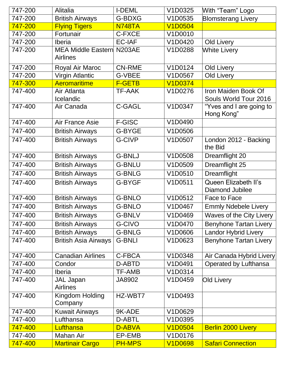| 747-200 | Alitalia                                            | <b>I-DEML</b> | V1D0325        | With "Team" Logo                               |
|---------|-----------------------------------------------------|---------------|----------------|------------------------------------------------|
| 747-200 | <b>British Airways</b>                              | G-BDXG        | V1D0535        | <b>Blomsterang Livery</b>                      |
| 747-200 | <b>Flying Tigers</b>                                | <b>N748TA</b> | <b>V1D0504</b> |                                                |
| 747-200 | Fortunair                                           | C-FXCE        | V1D0010        |                                                |
| 747-200 | Iberia                                              | <b>EC-IAF</b> | V1D0420        | <b>Old Livery</b>                              |
| 747-200 | <b>MEA Middle Eastern N203AE</b><br><b>Airlines</b> |               | V1D0288        | <b>White Livery</b>                            |
| 747-200 | Royal Air Maroc                                     | <b>CN-RME</b> | V1D0124        | <b>Old Livery</b>                              |
| 747-200 | <b>Virgin Atlantic</b>                              | <b>G-VBEE</b> | V1D0567        | <b>Old Livery</b>                              |
| 747-300 | <b>Aeromaritime</b>                                 | <b>F-GETB</b> | <b>V1D0374</b> |                                                |
| 747-400 | Air Atlanta<br>Icelandic                            | <b>TF-AAK</b> | V1D0276        | Iron Maiden Book Of<br>Souls World Tour 2016   |
| 747-400 | Air Canada                                          | <b>C-GAGL</b> | V1D0347        | "Yves and I are going to<br>Hong Kong"         |
| 747-400 | <b>Air France Asie</b>                              | <b>F-GISC</b> | V1D0490        |                                                |
| 747-400 | <b>British Airways</b>                              | G-BYGE        | V1D0506        |                                                |
| 747-400 | <b>British Airways</b>                              | G-CIVP        | V1D0507        | London 2012 - Backing<br>the Bid               |
| 747-400 | <b>British Airways</b>                              | <b>G-BNLJ</b> | V1D0508        | Dreamflight 20                                 |
| 747-400 | <b>British Airways</b>                              | <b>G-BNLU</b> | V1D0509        | Dreamflight 25                                 |
| 747-400 | <b>British Airways</b>                              | <b>G-BNLG</b> | V1D0510        | Dreamflight                                    |
| 747-400 | <b>British Airways</b>                              | G-BYGF        | V1D0511        | Queen Elizabeth II's<br><b>Diamond Jubilee</b> |
| 747-400 | <b>British Airways</b>                              | <b>G-BNLO</b> | V1D0512        | Face to Face                                   |
| 747-400 | <b>British Airways</b>                              | <b>G-BNLO</b> | V1D0467        | <b>Emmly Ndebele Livery</b>                    |
| 747-400 | <b>British Airways</b>                              | <b>G-BNLV</b> | V1D0469        | Waves of the City Livery                       |
| 747-400 | <b>British Airways</b>                              | G-CIVO        | V1D0470        | <b>Benyhone Tartan Livery</b>                  |
| 747-400 | <b>British Airways</b>                              | <b>G-BNLG</b> | V1D0606        | <b>Landor Hybrid Livery</b>                    |
| 747-400 | <b>British Asia Airways</b>                         | <b>G-BNLI</b> | V1D0623        | <b>Benyhone Tartan Livery</b>                  |
| 747-400 | <b>Canadian Airlines</b>                            | C-FBCA        | V1D0348        | Air Canada Hybrid Livery                       |
| 747-400 | Condor                                              | D-ABTD        | V1D0491        | Operated by Lufthansa                          |
| 747-400 | <b>Iberia</b>                                       | <b>TF-AMB</b> | V1D0314        |                                                |
| 747-400 | <b>JAL Japan</b><br><b>Airlines</b>                 | JA8902        | V1D0459        | <b>Old Livery</b>                              |
| 747-400 | Kingdom Holding<br>Company                          | HZ-WBT7       | V1D0493        |                                                |
| 747-400 | <b>Kuwait Airways</b>                               | 9K-ADE        | V1D0629        |                                                |
| 747-400 | Lufthansa                                           | D-ABTL        | V1D0395        |                                                |
| 747-400 | Lufthansa                                           | D-ABVA        | <b>V1D0504</b> | <b>Berlin 2000 Livery</b>                      |
| 747-400 | Mahan Air                                           | EP-EMB        | V1D0176        |                                                |
| 747-400 | <b>Martinair Cargo</b>                              | <b>PH-MPS</b> | <b>V1D0698</b> | <b>Safari Connection</b>                       |